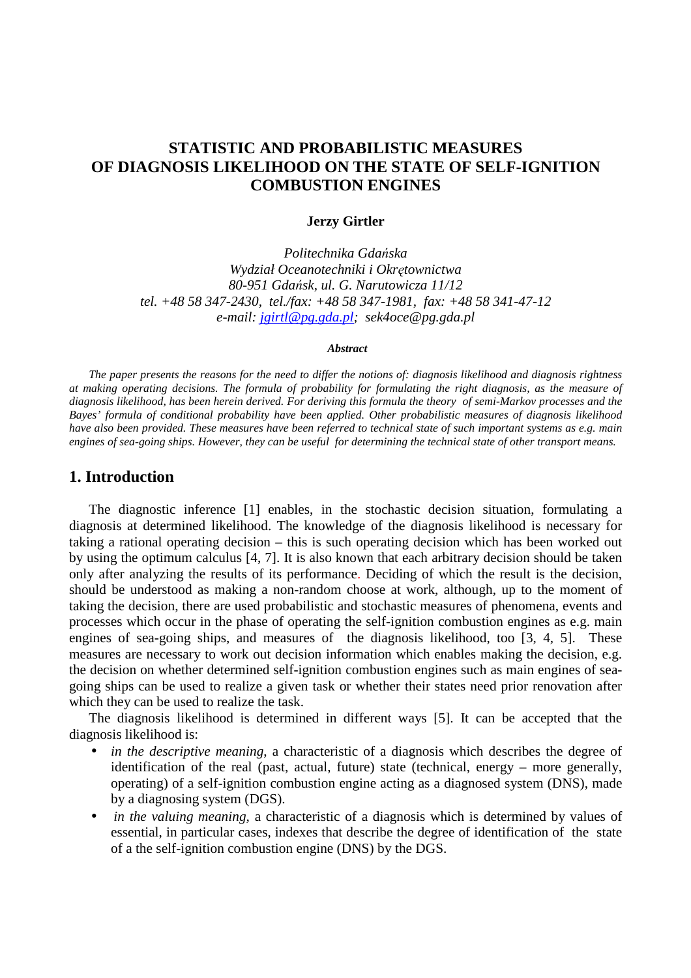# **STATISTIC AND PROBABILISTIC MEASURES OF DIAGNOSIS LIKELIHOOD ON THE STATE OF SELF-IGNITION COMBUSTION ENGINES**

#### **Jerzy Girtler**

*Politechnika Gda*ń*ska Wydział Oceanotechniki i Okr*ę*townictwa 80-951 Gda*ń*sk, ul. G. Narutowicza 11/12 tel. +48 58 347-2430, tel./fax: +48 58 347-1981, fax: +48 58 341-47-12 e-mail: jgirtl@pg.gda.pl; sek4oce@pg.gda.pl* 

#### *Abstract*

*The paper presents the reasons for the need to differ the notions of: diagnosis likelihood and diagnosis rightness at making operating decisions. The formula of probability for formulating the right diagnosis, as the measure of diagnosis likelihood, has been herein derived. For deriving this formula the theory of semi-Markov processes and the Bayes' formula of conditional probability have been applied. Other probabilistic measures of diagnosis likelihood have also been provided. These measures have been referred to technical state of such important systems as e.g. main engines of sea-going ships. However, they can be useful for determining the technical state of other transport means.* 

# **1. Introduction**

The diagnostic inference [1] enables, in the stochastic decision situation, formulating a diagnosis at determined likelihood. The knowledge of the diagnosis likelihood is necessary for taking a rational operating decision – this is such operating decision which has been worked out by using the optimum calculus [4, 7]. It is also known that each arbitrary decision should be taken only after analyzing the results of its performance. Deciding of which the result is the decision, should be understood as making a non-random choose at work, although, up to the moment of taking the decision, there are used probabilistic and stochastic measures of phenomena, events and processes which occur in the phase of operating the self-ignition combustion engines as e.g. main engines of sea-going ships, and measures of the diagnosis likelihood, too [3, 4, 5]. These measures are necessary to work out decision information which enables making the decision, e.g. the decision on whether determined self-ignition combustion engines such as main engines of seagoing ships can be used to realize a given task or whether their states need prior renovation after which they can be used to realize the task.

The diagnosis likelihood is determined in different ways [5]. It can be accepted that the diagnosis likelihood is:

- *in the descriptive meaning*, a characteristic of a diagnosis which describes the degree of identification of the real (past, actual, future) state (technical, energy – more generally, operating) of a self-ignition combustion engine acting as a diagnosed system (DNS), made by a diagnosing system (DGS).
- *in the valuing meaning*, a characteristic of a diagnosis which is determined by values of essential, in particular cases, indexes that describe the degree of identification of the state of a the self-ignition combustion engine (DNS) by the DGS.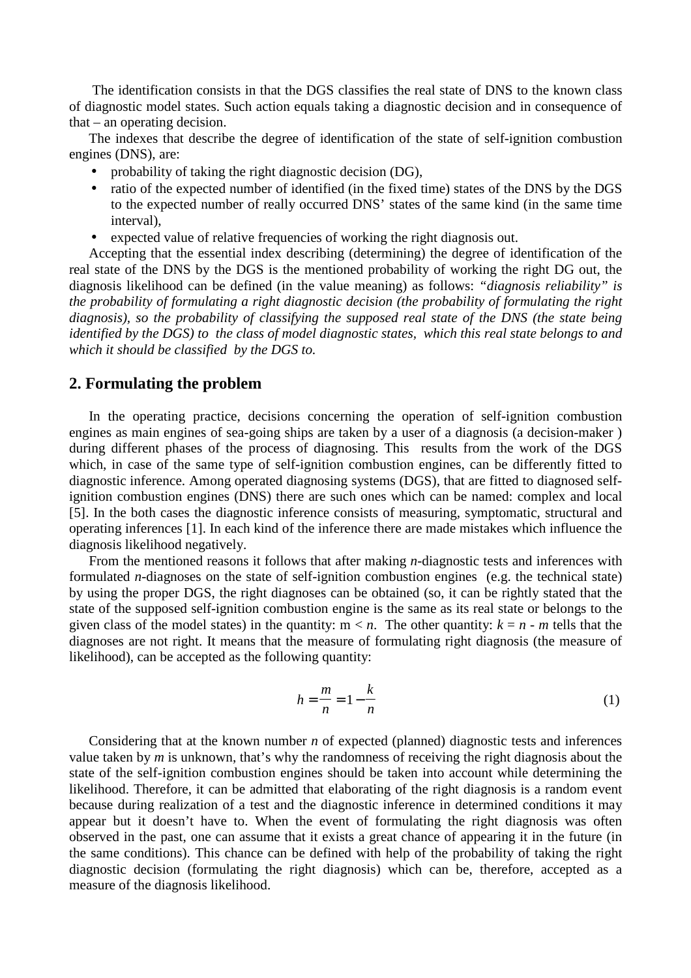The identification consists in that the DGS classifies the real state of DNS to the known class of diagnostic model states. Such action equals taking a diagnostic decision and in consequence of that – an operating decision.

The indexes that describe the degree of identification of the state of self-ignition combustion engines (DNS), are:

- probability of taking the right diagnostic decision (DG),
- ratio of the expected number of identified (in the fixed time) states of the DNS by the DGS to the expected number of really occurred DNS' states of the same kind (in the same time interval),
- expected value of relative frequencies of working the right diagnosis out.

Accepting that the essential index describing (determining) the degree of identification of the real state of the DNS by the DGS is the mentioned probability of working the right DG out, the diagnosis likelihood can be defined (in the value meaning) as follows: *"diagnosis reliability" is the probability of formulating a right diagnostic decision (the probability of formulating the right diagnosis), so the probability of classifying the supposed real state of the DNS (the state being identified by the DGS) to the class of model diagnostic states, which this real state belongs to and which it should be classified by the DGS to.*

# **2. Formulating the problem**

In the operating practice, decisions concerning the operation of self-ignition combustion engines as main engines of sea-going ships are taken by a user of a diagnosis (a decision-maker ) during different phases of the process of diagnosing. This results from the work of the DGS which, in case of the same type of self-ignition combustion engines, can be differently fitted to diagnostic inference. Among operated diagnosing systems (DGS), that are fitted to diagnosed selfignition combustion engines (DNS) there are such ones which can be named: complex and local [5]. In the both cases the diagnostic inference consists of measuring, symptomatic, structural and operating inferences [1]. In each kind of the inference there are made mistakes which influence the diagnosis likelihood negatively.

From the mentioned reasons it follows that after making *n*-diagnostic tests and inferences with formulated *n*-diagnoses on the state of self-ignition combustion engines (e.g. the technical state) by using the proper DGS, the right diagnoses can be obtained (so, it can be rightly stated that the state of the supposed self-ignition combustion engine is the same as its real state or belongs to the given class of the model states) in the quantity:  $m < n$ . The other quantity:  $k = n - m$  tells that the diagnoses are not right. It means that the measure of formulating right diagnosis (the measure of likelihood), can be accepted as the following quantity:

$$
h = \frac{m}{n} = 1 - \frac{k}{n} \tag{1}
$$

Considering that at the known number *n* of expected (planned) diagnostic tests and inferences value taken by *m* is unknown, that's why the randomness of receiving the right diagnosis about the state of the self-ignition combustion engines should be taken into account while determining the likelihood. Therefore, it can be admitted that elaborating of the right diagnosis is a random event because during realization of a test and the diagnostic inference in determined conditions it may appear but it doesn't have to. When the event of formulating the right diagnosis was often observed in the past, one can assume that it exists a great chance of appearing it in the future (in the same conditions). This chance can be defined with help of the probability of taking the right diagnostic decision (formulating the right diagnosis) which can be, therefore, accepted as a measure of the diagnosis likelihood.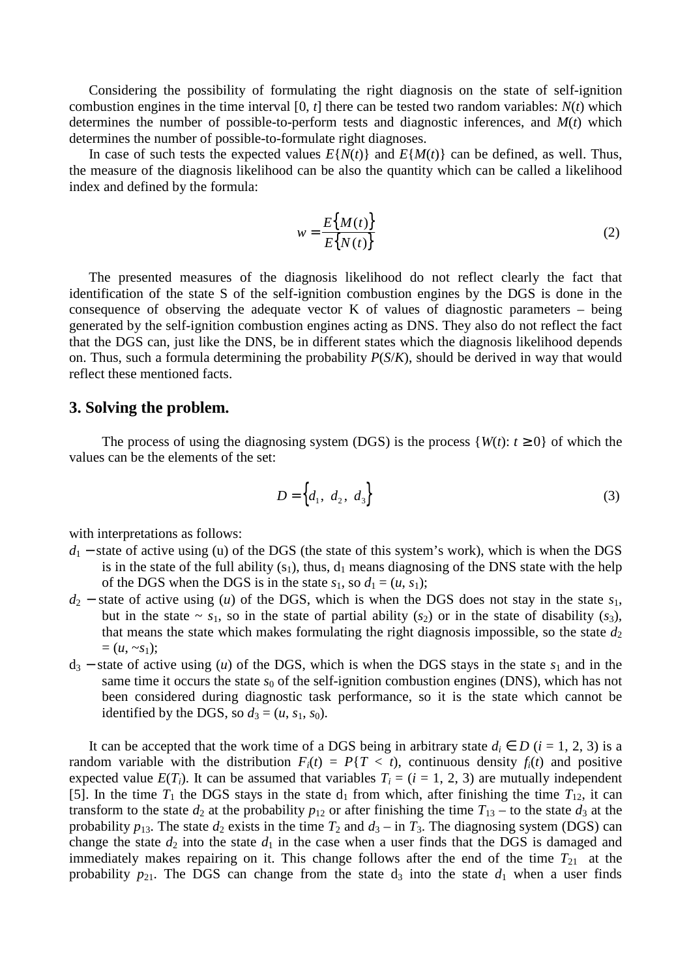Considering the possibility of formulating the right diagnosis on the state of self-ignition combustion engines in the time interval [0, *t*] there can be tested two random variables: *N*(*t*) which determines the number of possible-to-perform tests and diagnostic inferences, and *M*(*t*) which determines the number of possible-to-formulate right diagnoses.

In case of such tests the expected values  $E\{N(t)\}\$  and  $E\{M(t)\}\$ can be defined, as well. Thus, the measure of the diagnosis likelihood can be also the quantity which can be called a likelihood index and defined by the formula:

$$
w = \frac{E\{M(t)\}}{E\{N(t)\}}
$$
 (2)

The presented measures of the diagnosis likelihood do not reflect clearly the fact that identification of the state S of the self-ignition combustion engines by the DGS is done in the consequence of observing the adequate vector  $K$  of values of diagnostic parameters – being generated by the self-ignition combustion engines acting as DNS. They also do not reflect the fact that the DGS can, just like the DNS, be in different states which the diagnosis likelihood depends on. Thus, such a formula determining the probability *P*(*S*/*K*), should be derived in way that would reflect these mentioned facts.

# **3. Solving the problem.**

The process of using the diagnosing system (DGS) is the process  $\{W(t): t \ge 0\}$  of which the values can be the elements of the set:

$$
D = \left\{ d_1, d_2, d_3 \right\} \tag{3}
$$

with interpretations as follows:

- *d*<sub>1</sub> − state of active using (u) of the DGS (the state of this system's work), which is when the DGS is in the state of the full ability  $(s_1)$ , thus,  $d_1$  means diagnosing of the DNS state with the help of the DGS when the DGS is in the state  $s_1$ , so  $d_1 = (u, s_1)$ ;
- *d*<sup>2</sup> − state of active using (*u*) of the DGS, which is when the DGS does not stay in the state *s*1, but in the state  $\sim s_1$ , so in the state of partial ability  $(s_2)$  or in the state of disability  $(s_3)$ , that means the state which makes formulating the right diagnosis impossible, so the state  $d_2$  $= (u, \, -s_1);$
- d<sup>3</sup> − state of active using (*u*) of the DGS, which is when the DGS stays in the state *s*1 and in the same time it occurs the state  $s_0$  of the self-ignition combustion engines (DNS), which has not been considered during diagnostic task performance, so it is the state which cannot be identified by the DGS, so  $d_3 = (u, s_1, s_0)$ .

It can be accepted that the work time of a DGS being in arbitrary state  $d_i \in D$  ( $i = 1, 2, 3$ ) is a random variable with the distribution  $F_i(t) = P\{T \le t\}$ , continuous density  $f_i(t)$  and positive expected value  $E(T_i)$ . It can be assumed that variables  $T_i = (i = 1, 2, 3)$  are mutually independent [5]. In the time  $T_1$  the DGS stays in the state  $d_1$  from which, after finishing the time  $T_{12}$ , it can transform to the state  $d_2$  at the probability  $p_{12}$  or after finishing the time  $T_{13}$  – to the state  $d_3$  at the probability  $p_{13}$ . The state  $d_2$  exists in the time  $T_2$  and  $d_3 -$  in  $T_3$ . The diagnosing system (DGS) can change the state  $d_2$  into the state  $d_1$  in the case when a user finds that the DGS is damaged and immediately makes repairing on it. This change follows after the end of the time  $T_{21}$  at the probability  $p_{21}$ . The DGS can change from the state  $d_3$  into the state  $d_1$  when a user finds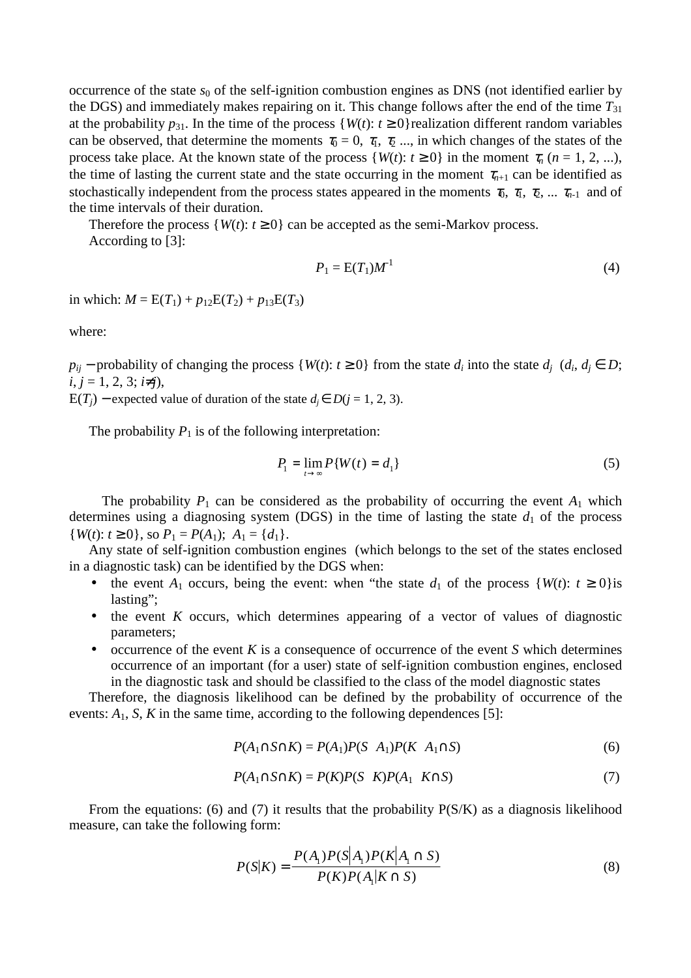occurrence of the state  $s_0$  of the self-ignition combustion engines as DNS (not identified earlier by the DGS) and immediately makes repairing on it. This change follows after the end of the time  $T_{31}$ at the probability  $p_{31}$ . In the time of the process {*W*(*t*):  $t \ge 0$ } realization different random variables can be observed, that determine the moments  $\tau_0 = 0, \tau_1, \tau_2, \ldots$ , in which changes of the states of the process take place. At the known state of the process  $\{W(t): t \ge 0\}$  in the moment  $\tau_n$  (*n* = 1, 2, ...), the time of lasting the current state and the state occurring in the moment  $\tau_{n+1}$  can be identified as stochastically independent from the process states appeared in the moments  $\tau_0$ ,  $\tau_1$ ,  $\tau_2$ , ...  $\tau_{n-1}$  and of the time intervals of their duration.

Therefore the process  $\{W(t): t \geq 0\}$  can be accepted as the semi-Markov process. According to [3]:

$$
P_1 = \mathcal{E}(T_1)M^1\tag{4}
$$

in which:  $M = E(T_1) + p_{12}E(T_2) + p_{13}E(T_3)$ 

where:

 $p_{ij}$  − probability of changing the process {*W*(*t*): *t* ≥ 0} from the state  $d_i$  into the state  $d_j$  ( $d_i$ ,  $d_j \in D$ ;  $i, j = 1, 2, 3; i\neq j$ ,

E(*T<sub>i</sub>*) − expected value of duration of the state  $d_i$  ∈ *D*( $j$  = 1, 2, 3).

The probability  $P_1$  is of the following interpretation:

$$
P_1 = \lim_{t \to \infty} P\{W(t) = d_1\} \tag{5}
$$

The probability  $P_1$  can be considered as the probability of occurring the event  $A_1$  which determines using a diagnosing system (DGS) in the time of lasting the state  $d_1$  of the process  ${W(t): t \ge 0}$ , so  $P_1 = P(A_1); A_1 = \{d_1\}.$ 

Any state of self-ignition combustion engines (which belongs to the set of the states enclosed in a diagnostic task) can be identified by the DGS when:

- the event  $A_1$  occurs, being the event: when "the state  $d_1$  of the process  $\{W(t): t \ge 0\}$ is lasting";
- the event *K* occurs, which determines appearing of a vector of values of diagnostic parameters;
- occurrence of the event *K* is a consequence of occurrence of the event *S* which determines occurrence of an important (for a user) state of self-ignition combustion engines, enclosed in the diagnostic task and should be classified to the class of the model diagnostic states

Therefore, the diagnosis likelihood can be defined by the probability of occurrence of the events:  $A_1$ ,  $S$ ,  $K$  in the same time, according to the following dependences [5]:

$$
P(A_1 \cap S \cap K) = P(A_1)P(S \mid A_1)P(K \mid A_1 \cap S)
$$
\n(6)

$$
P(A_1 \cap S \cap K) = P(K)P(S \mid K)P(A_1 \mid K \cap S)
$$
\n<sup>(7)</sup>

From the equations: (6) and (7) it results that the probability  $P(S/K)$  as a diagnosis likelihood measure, can take the following form:

$$
P(S|K) = \frac{P(A_1)P(S|A_1)P(K|A_1 \cap S)}{P(K)P(A_1|K \cap S)}
$$
(8)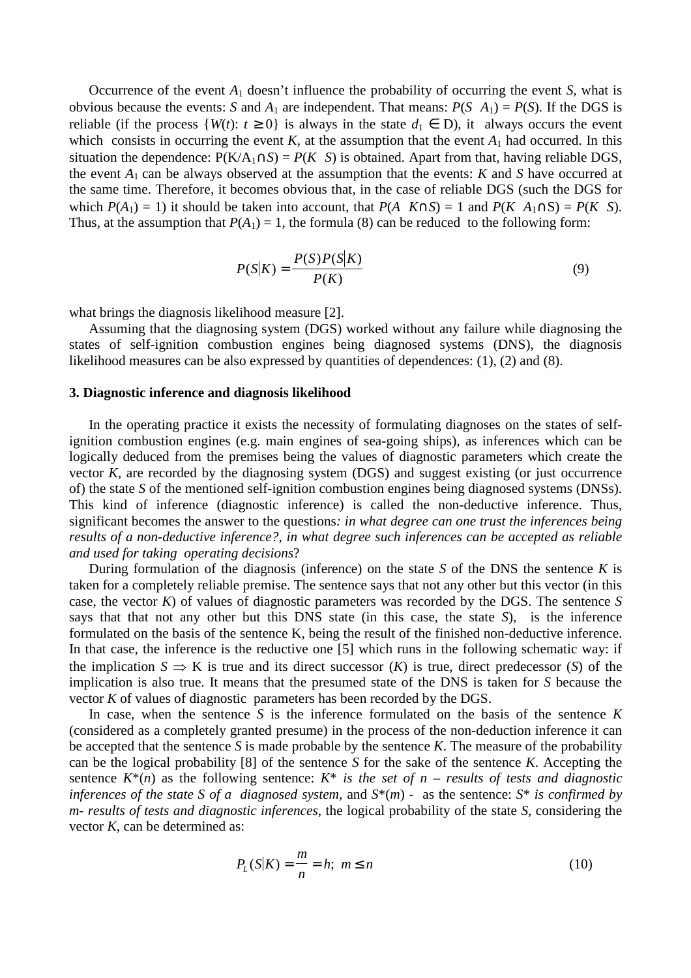Occurrence of the event  $A_1$  doesn't influence the probability of occurring the event *S*, what is obvious because the events: *S* and  $A_1$  are independent. That means:  $P(S|A_1) = P(S)$ . If the DGS is reliable (if the process  $\{W(t): t \geq 0\}$  is always in the state  $d_1 \in D$ ), it always occurs the event which consists in occurring the event  $K$ , at the assumption that the event  $A_1$  had occurred. In this situation the dependence:  $P(K/A_1 \cap S) = P(K|S)$  is obtained. Apart from that, having reliable DGS, the event  $A_1$  can be always observed at the assumption that the events:  $K$  and  $S$  have occurred at the same time. Therefore, it becomes obvious that, in the case of reliable DGS (such the DGS for which  $P(A_1) = 1$ ) it should be taken into account, that  $P(A | K \cap S) = 1$  and  $P(K | A_1 \cap S) = P(K | S)$ . Thus, at the assumption that  $P(A_1) = 1$ , the formula (8) can be reduced to the following form:

$$
P(S|K) = \frac{P(S)P(S|K)}{P(K)}\tag{9}
$$

what brings the diagnosis likelihood measure [2].

Assuming that the diagnosing system (DGS) worked without any failure while diagnosing the states of self-ignition combustion engines being diagnosed systems (DNS), the diagnosis likelihood measures can be also expressed by quantities of dependences: (1), (2) and (8).

#### **3. Diagnostic inference and diagnosis likelihood**

In the operating practice it exists the necessity of formulating diagnoses on the states of selfignition combustion engines (e.g. main engines of sea-going ships), as inferences which can be logically deduced from the premises being the values of diagnostic parameters which create the vector *K*, are recorded by the diagnosing system (DGS) and suggest existing (or just occurrence of) the state *S* of the mentioned self-ignition combustion engines being diagnosed systems (DNSs). This kind of inference (diagnostic inference) is called the non-deductive inference. Thus, significant becomes the answer to the questions*: in what degree can one trust the inferences being results of a non-deductive inference?, in what degree such inferences can be accepted as reliable and used for taking operating decisions*?

During formulation of the diagnosis (inference) on the state *S* of the DNS the sentence *K* is taken for a completely reliable premise. The sentence says that not any other but this vector (in this case, the vector *K*) of values of diagnostic parameters was recorded by the DGS. The sentence *S* says that that not any other but this DNS state (in this case, the state *S*), is the inference formulated on the basis of the sentence K, being the result of the finished non-deductive inference. In that case, the inference is the reductive one [5] which runs in the following schematic way: if the implication  $S \Rightarrow K$  is true and its direct successor  $(K)$  is true, direct predecessor  $(S)$  of the implication is also true. It means that the presumed state of the DNS is taken for *S* because the vector *K* of values of diagnostic parameters has been recorded by the DGS.

In case, when the sentence *S* is the inference formulated on the basis of the sentence *K* (considered as a completely granted presume) in the process of the non-deduction inference it can be accepted that the sentence *S* is made probable by the sentence *K*. The measure of the probability can be the logical probability [8] of the sentence *S* for the sake of the sentence *K*. Accepting the sentence  $K^*(n)$  as the following sentence:  $K^*$  *is the set of n – results of tests and diagnostic inferences of the state S of a diagnosed system,* and *S*\*(*m*) - as the sentence: *S*\* *is confirmed by m- results of tests and diagnostic inferences*, the logical probability of the state *S*, considering the vector *K*, can be determined as:

$$
P_L(S|K) = \frac{m}{n} = h; \ m \le n \tag{10}
$$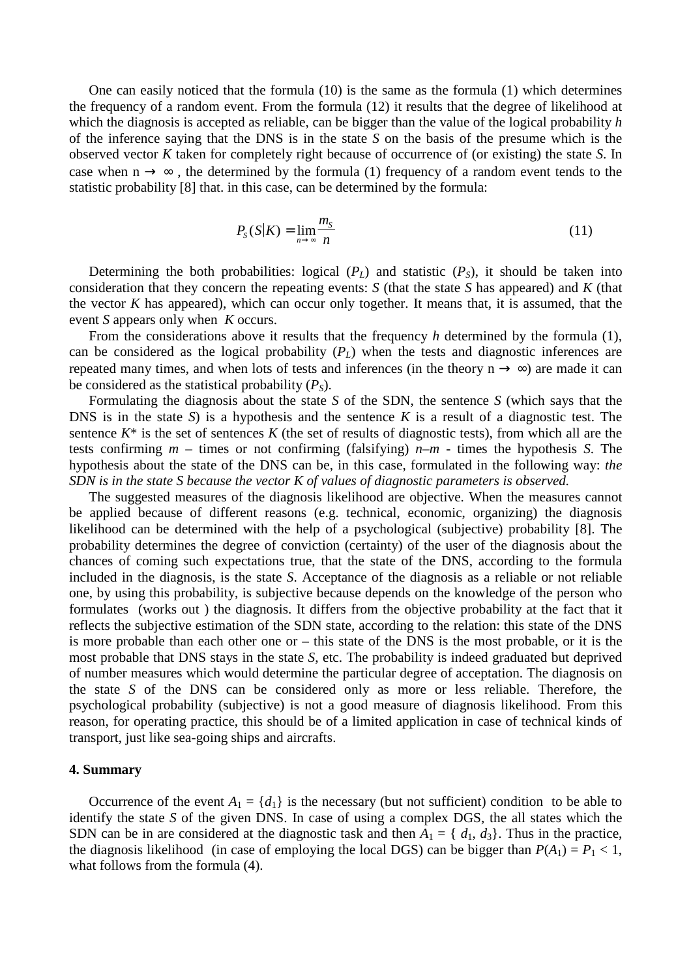One can easily noticed that the formula (10) is the same as the formula (1) which determines the frequency of a random event. From the formula (12) it results that the degree of likelihood at which the diagnosis is accepted as reliable, can be bigger than the value of the logical probability *h* of the inference saying that the DNS is in the state *S* on the basis of the presume which is the observed vector *K* taken for completely right because of occurrence of (or existing) the state *S*. In case when  $n \rightarrow \infty$ , the determined by the formula (1) frequency of a random event tends to the statistic probability [8] that. in this case, can be determined by the formula:

$$
P_{S}(S|K) = \lim_{n \to \infty} \frac{m_{S}}{n}
$$
\n(11)

Determining the both probabilities: logical  $(P_L)$  and statistic  $(P_S)$ , it should be taken into consideration that they concern the repeating events: *S* (that the state *S* has appeared) and *K* (that the vector  $K$  has appeared), which can occur only together. It means that, it is assumed, that the event *S* appears only when *K* occurs.

From the considerations above it results that the frequency *h* determined by the formula (1), can be considered as the logical probability  $(P_L)$  when the tests and diagnostic inferences are repeated many times, and when lots of tests and inferences (in the theory  $n \rightarrow \infty$ ) are made it can be considered as the statistical probability  $(P<sub>S</sub>)$ .

Formulating the diagnosis about the state *S* of the SDN, the sentence *S* (which says that the DNS is in the state *S*) is a hypothesis and the sentence *K* is a result of a diagnostic test. The sentence  $K^*$  is the set of sentences  $K$  (the set of results of diagnostic tests), from which all are the tests confirming *m* – times or not confirming (falsifying) *n*–*m* - times the hypothesis *S*. The hypothesis about the state of the DNS can be, in this case, formulated in the following way: *the SDN is in the state S because the vector K of values of diagnostic parameters is observed.*

The suggested measures of the diagnosis likelihood are objective. When the measures cannot be applied because of different reasons (e.g. technical, economic, organizing) the diagnosis likelihood can be determined with the help of a psychological (subjective) probability [8]. The probability determines the degree of conviction (certainty) of the user of the diagnosis about the chances of coming such expectations true, that the state of the DNS, according to the formula included in the diagnosis, is the state *S*. Acceptance of the diagnosis as a reliable or not reliable one, by using this probability, is subjective because depends on the knowledge of the person who formulates (works out ) the diagnosis. It differs from the objective probability at the fact that it reflects the subjective estimation of the SDN state, according to the relation: this state of the DNS is more probable than each other one or – this state of the DNS is the most probable, or it is the most probable that DNS stays in the state *S*, etc. The probability is indeed graduated but deprived of number measures which would determine the particular degree of acceptation. The diagnosis on the state *S* of the DNS can be considered only as more or less reliable. Therefore, the psychological probability (subjective) is not a good measure of diagnosis likelihood. From this reason, for operating practice, this should be of a limited application in case of technical kinds of transport, just like sea-going ships and aircrafts.

### **4. Summary**

Occurrence of the event  $A_1 = \{d_1\}$  is the necessary (but not sufficient) condition to be able to identify the state *S* of the given DNS. In case of using a complex DGS, the all states which the SDN can be in are considered at the diagnostic task and then  $A_1 = \{d_1, d_3\}$ . Thus in the practice, the diagnosis likelihood (in case of employing the local DGS) can be bigger than  $P(A_1) = P_1 < 1$ , what follows from the formula (4).